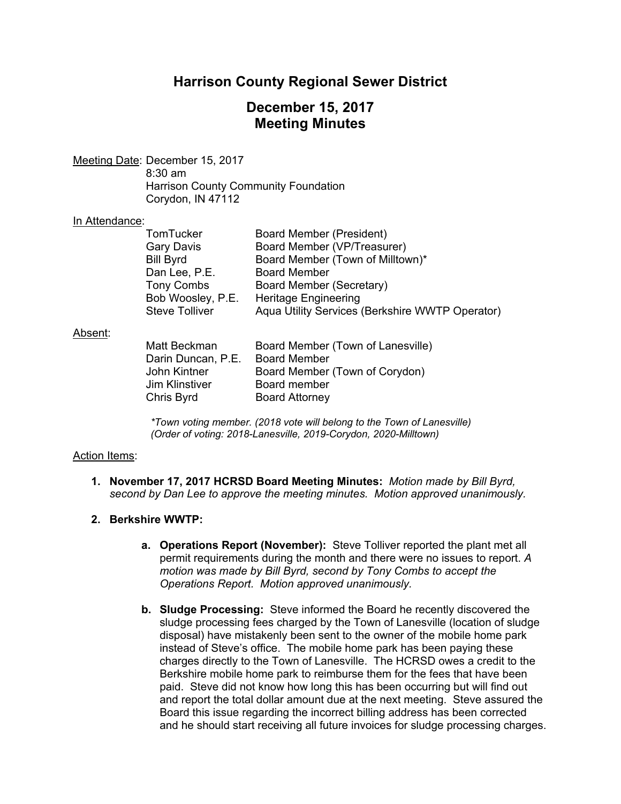# **Harrison County Regional Sewer District**

# **December 15, 2017 Meeting Minutes**

Meeting Date: December 15, 2017 8:30 am Harrison County Community Foundation Corydon, IN 47112

#### In Attendance:

| TomTucker         | <b>Board Member (President)</b>                 |
|-------------------|-------------------------------------------------|
| Gary Davis        | Board Member (VP/Treasurer)                     |
| Bill Byrd         | Board Member (Town of Milltown)*                |
| Dan Lee, P.E.     | <b>Board Member</b>                             |
| <b>Tony Combs</b> | Board Member (Secretary)                        |
| Bob Woosley, P.E. | <b>Heritage Engineering</b>                     |
| Steve Tolliver    | Aqua Utility Services (Berkshire WWTP Operator) |

#### Absent:

| Matt Beckman       | Board Member (Town of Lanesville) |
|--------------------|-----------------------------------|
| Darin Duncan, P.E. | <b>Board Member</b>               |
| John Kintner       | Board Member (Town of Corydon)    |
| Jim Klinstiver     | Board member                      |
| Chris Byrd         | <b>Board Attorney</b>             |

*\*Town voting member. (2018 vote will belong to the Town of Lanesville) (Order of voting: 2018-Lanesville, 2019-Corydon, 2020-Milltown)* 

### Action Items:

**1. November 17, 2017 HCRSD Board Meeting Minutes:** *Motion made by Bill Byrd, second by Dan Lee to approve the meeting minutes. Motion approved unanimously.*

## **2. Berkshire WWTP:**

- **a. Operations Report (November):** Steve Tolliver reported the plant met all permit requirements during the month and there were no issues to report. *A motion was made by Bill Byrd, second by Tony Combs to accept the Operations Report. Motion approved unanimously.*
- **b. Sludge Processing:** Steve informed the Board he recently discovered the sludge processing fees charged by the Town of Lanesville (location of sludge disposal) have mistakenly been sent to the owner of the mobile home park instead of Steve's office. The mobile home park has been paying these charges directly to the Town of Lanesville. The HCRSD owes a credit to the Berkshire mobile home park to reimburse them for the fees that have been paid. Steve did not know how long this has been occurring but will find out and report the total dollar amount due at the next meeting. Steve assured the Board this issue regarding the incorrect billing address has been corrected and he should start receiving all future invoices for sludge processing charges.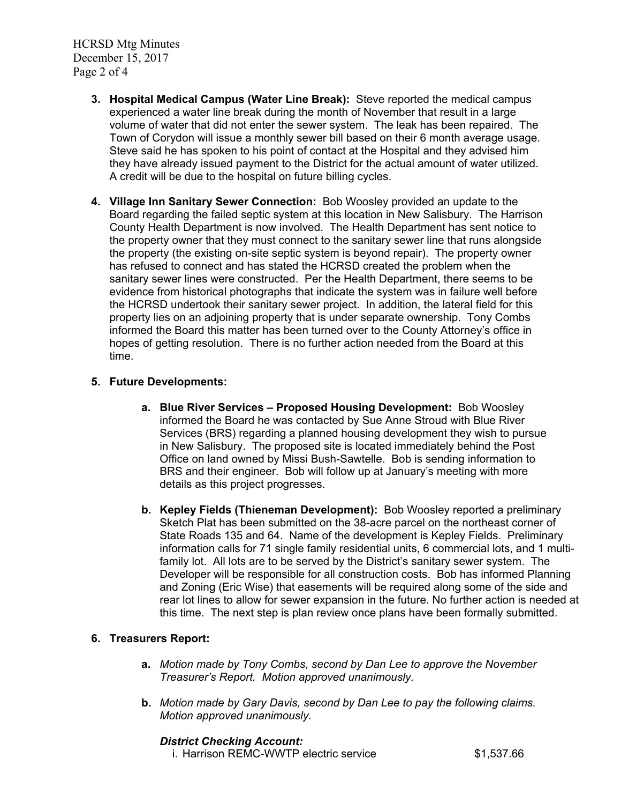HCRSD Mtg Minutes December 15, 2017 Page 2 of 4

- **3. Hospital Medical Campus (Water Line Break):** Steve reported the medical campus experienced a water line break during the month of November that result in a large volume of water that did not enter the sewer system. The leak has been repaired. The Town of Corydon will issue a monthly sewer bill based on their 6 month average usage. Steve said he has spoken to his point of contact at the Hospital and they advised him they have already issued payment to the District for the actual amount of water utilized. A credit will be due to the hospital on future billing cycles.
- **4. Village Inn Sanitary Sewer Connection:** Bob Woosley provided an update to the Board regarding the failed septic system at this location in New Salisbury. The Harrison County Health Department is now involved. The Health Department has sent notice to the property owner that they must connect to the sanitary sewer line that runs alongside the property (the existing on-site septic system is beyond repair). The property owner has refused to connect and has stated the HCRSD created the problem when the sanitary sewer lines were constructed. Per the Health Department, there seems to be evidence from historical photographs that indicate the system was in failure well before the HCRSD undertook their sanitary sewer project. In addition, the lateral field for this property lies on an adjoining property that is under separate ownership. Tony Combs informed the Board this matter has been turned over to the County Attorney's office in hopes of getting resolution. There is no further action needed from the Board at this time.

# **5. Future Developments:**

- **a. Blue River Services Proposed Housing Development:** Bob Woosley informed the Board he was contacted by Sue Anne Stroud with Blue River Services (BRS) regarding a planned housing development they wish to pursue in New Salisbury. The proposed site is located immediately behind the Post Office on land owned by Missi Bush-Sawtelle. Bob is sending information to BRS and their engineer. Bob will follow up at January's meeting with more details as this project progresses.
- **b. Kepley Fields (Thieneman Development):** Bob Woosley reported a preliminary Sketch Plat has been submitted on the 38-acre parcel on the northeast corner of State Roads 135 and 64. Name of the development is Kepley Fields. Preliminary information calls for 71 single family residential units, 6 commercial lots, and 1 multifamily lot. All lots are to be served by the District's sanitary sewer system. The Developer will be responsible for all construction costs. Bob has informed Planning and Zoning (Eric Wise) that easements will be required along some of the side and rear lot lines to allow for sewer expansion in the future. No further action is needed at this time. The next step is plan review once plans have been formally submitted.

# **6. Treasurers Report:**

- **a.** *Motion made by Tony Combs, second by Dan Lee to approve the November Treasurer's Report. Motion approved unanimously.*
- **b.** *Motion made by Gary Davis, second by Dan Lee to pay the following claims. Motion approved unanimously.*

### *District Checking Account:*

i. Harrison REMC-WWTP electric service  $$1,537.66$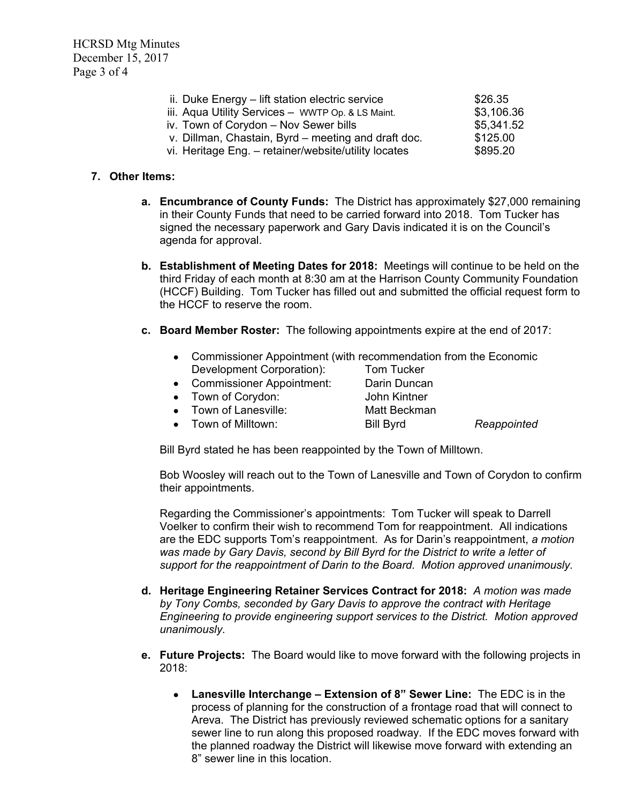HCRSD Mtg Minutes December 15, 2017 Page 3 of 4

| ii. Duke Energy - lift station electric service      | \$26.35    |
|------------------------------------------------------|------------|
| iii. Aqua Utility Services - WWTP Op. & LS Maint.    | \$3,106.36 |
| iv. Town of Corydon - Nov Sewer bills                | \$5,341.52 |
| v. Dillman, Chastain, Byrd - meeting and draft doc.  | \$125.00   |
| vi. Heritage Eng. - retainer/website/utility locates | \$895.20   |

### **7. Other Items:**

- **a. Encumbrance of County Funds:** The District has approximately \$27,000 remaining in their County Funds that need to be carried forward into 2018. Tom Tucker has signed the necessary paperwork and Gary Davis indicated it is on the Council's agenda for approval.
- **b. Establishment of Meeting Dates for 2018:** Meetings will continue to be held on the third Friday of each month at 8:30 am at the Harrison County Community Foundation (HCCF) Building. Tom Tucker has filled out and submitted the official request form to the HCCF to reserve the room.
- **c. Board Member Roster:** The following appointments expire at the end of 2017:
	- Commissioner Appointment (with recommendation from the Economic Development Corporation): Tom Tucker
	- Commissioner Appointment: Darin Duncan
		-
	- Town of Corydon: John Kintner
- - Town of Lanesville: Matt Beckman
- - Town of Milltown: Bill Byrd *Reappointed*

Bill Byrd stated he has been reappointed by the Town of Milltown.

Bob Woosley will reach out to the Town of Lanesville and Town of Corydon to confirm their appointments.

Regarding the Commissioner's appointments: Tom Tucker will speak to Darrell Voelker to confirm their wish to recommend Tom for reappointment. All indications are the EDC supports Tom's reappointment. As for Darin's reappointment, *a motion was made by Gary Davis, second by Bill Byrd for the District to write a letter of support for the reappointment of Darin to the Board. Motion approved unanimously.* 

- **d. Heritage Engineering Retainer Services Contract for 2018:** *A motion was made by Tony Combs, seconded by Gary Davis to approve the contract with Heritage Engineering to provide engineering support services to the District. Motion approved unanimously.*
- **e. Future Projects:** The Board would like to move forward with the following projects in 2018:
	- **Lanesville Interchange – Extension of 8" Sewer Line:** The EDC is in the process of planning for the construction of a frontage road that will connect to Areva. The District has previously reviewed schematic options for a sanitary sewer line to run along this proposed roadway. If the EDC moves forward with the planned roadway the District will likewise move forward with extending an 8" sewer line in this location.